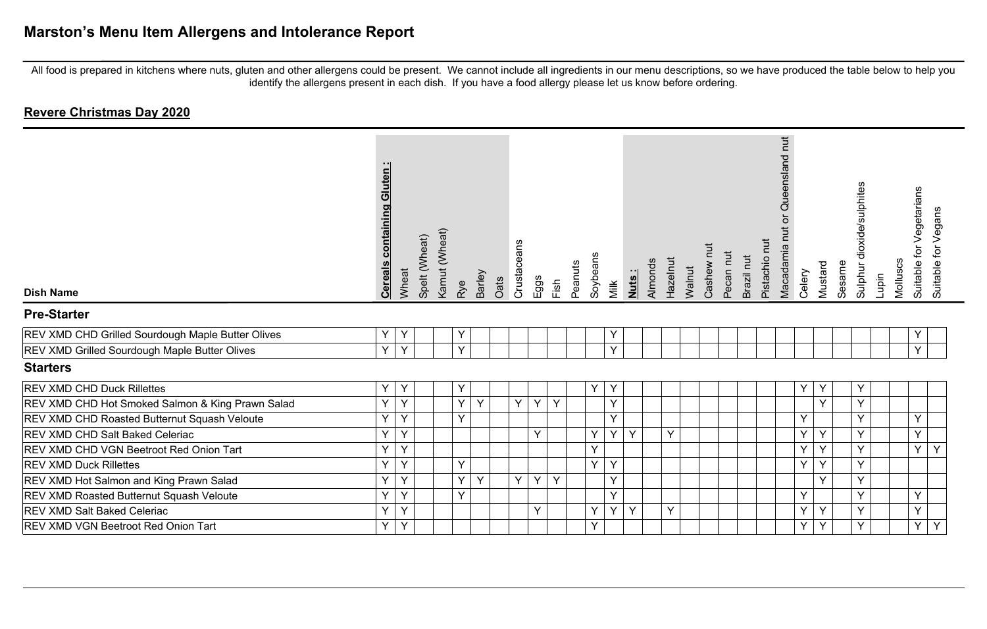| <b>Dish Name</b>                                  | uten<br><u>ම</u><br>containing<br><u>Cereals</u> | Wheat | Kamut (Wheat)<br>Spelt (Wheat) | Rye | Barley       | Oats | Crustaceans | Eggs<br>Fish | Peanuts | Soybeans | Milk | Nuts: | Almonds | Hazelnut | Walnut | īut<br>Cashew | Pecan nut<br>Brazil nut | Pistachio nut | Queensland nut<br>$\overleftarrow{\mathrm{o}}$<br>Macadamia nut | Celery | Mustard | Sesame | dioxide/sulphites<br>Sulphur<br>Lupin | Molluscs | Vegetarians<br>ig.<br>Suitable | Suitable for Vegans |
|---------------------------------------------------|--------------------------------------------------|-------|--------------------------------|-----|--------------|------|-------------|--------------|---------|----------|------|-------|---------|----------|--------|---------------|-------------------------|---------------|-----------------------------------------------------------------|--------|---------|--------|---------------------------------------|----------|--------------------------------|---------------------|
| <b>Pre-Starter</b>                                |                                                  |       |                                |     |              |      |             |              |         |          |      |       |         |          |        |               |                         |               |                                                                 |        |         |        |                                       |          |                                |                     |
| REV XMD CHD Grilled Sourdough Maple Butter Olives | Υ                                                | Y     |                                | Υ   |              |      |             |              |         |          | Υ    |       |         |          |        |               |                         |               |                                                                 |        |         |        |                                       |          |                                |                     |
| REV XMD Grilled Sourdough Maple Butter Olives     | Y                                                | Y     |                                | Y   |              |      |             |              |         |          | Y    |       |         |          |        |               |                         |               |                                                                 |        |         |        |                                       |          | $\vee$                         |                     |
| <b>Starters</b>                                   |                                                  |       |                                |     |              |      |             |              |         |          |      |       |         |          |        |               |                         |               |                                                                 |        |         |        |                                       |          |                                |                     |
| REV XMD CHD Duck Rillettes                        | Υ                                                | Y     |                                | Υ   |              |      |             |              |         | Y        | Υ    |       |         |          |        |               |                         |               |                                                                 | Y      | Y       |        | Υ                                     |          |                                |                     |
| REV XMD CHD Hot Smoked Salmon & King Prawn Salad  | Υ                                                | Y     |                                | Y   | Y            |      | Y           | Y<br>Y       |         |          | Y    |       |         |          |        |               |                         |               |                                                                 |        | Y       |        | Υ                                     |          |                                |                     |
| REV XMD CHD Roasted Butternut Squash Veloute      | Y                                                | Y     |                                | Y   |              |      |             |              |         |          | Y    |       |         |          |        |               |                         |               |                                                                 | Y      |         |        | Y                                     |          | Y                              |                     |
| REV XMD CHD Salt Baked Celeriac                   | Y                                                | Y     |                                |     |              |      |             | Y            |         | Y        | Y    | Y     |         | Y        |        |               |                         |               |                                                                 | Y      | Y       |        | Y                                     |          | Y                              |                     |
| REV XMD CHD VGN Beetroot Red Onion Tart           | Υ                                                | Y     |                                |     |              |      |             |              |         | Y        |      |       |         |          |        |               |                         |               |                                                                 | Y      | Y       |        | Y                                     |          | Y                              | Y                   |
| <b>REV XMD Duck Rillettes</b>                     | Y                                                | Y     |                                | Y   |              |      |             |              |         | Y        | Y    |       |         |          |        |               |                         |               |                                                                 | Y      | Y       |        | Y                                     |          |                                |                     |
| REV XMD Hot Salmon and King Prawn Salad           | Y                                                | Y     |                                | Y   | $\mathsf{Y}$ |      | Y           | Y<br>Y       |         |          | Y    |       |         |          |        |               |                         |               |                                                                 |        | Y       |        | Y                                     |          |                                |                     |
| REV XMD Roasted Butternut Squash Veloute          | Y                                                | Y     |                                | Y   |              |      |             |              |         |          | Y    |       |         |          |        |               |                         |               |                                                                 | Y      |         |        | Y                                     |          | Y                              |                     |
| REV XMD Salt Baked Celeriac                       | Υ                                                | Y     |                                |     |              |      |             | Y            |         | Y        | Y    | Y     |         | Υ        |        |               |                         |               |                                                                 | Y      | Y       |        | Y                                     |          | Y                              |                     |
| REV XMD VGN Beetroot Red Onion Tart               | Y                                                | Y     |                                |     |              |      |             |              |         | Y        |      |       |         |          |        |               |                         |               |                                                                 | Y      | Y       |        | Y                                     |          | Y                              | Y                   |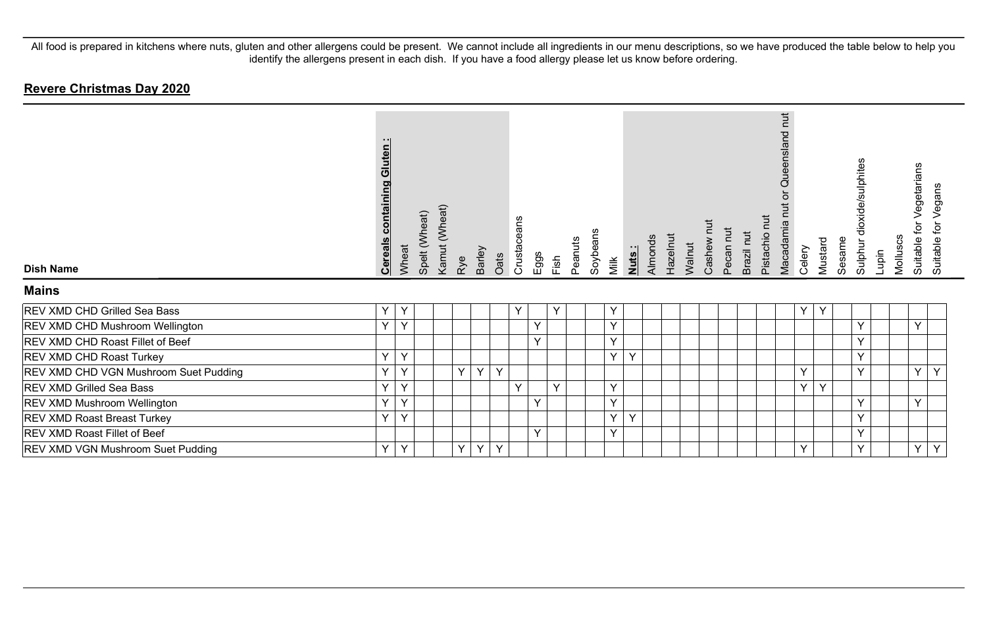| <b>Dish Name</b>                         | <b>Cereals containing Gluten:</b> | Wheat        | Spelt (Wheat) | Kamut (Wheat) | Rye      | <b>Barley</b> | Oats | Crustaceans  | Eggs | Fish   | Peanuts | Soybeans | Milk         | Nuts:        | Almonds | Hazelnut | Walnut | Cashew | Pecan nut | Brazil nut | Pistachio nut | Queensland nut<br>ă<br>Macadamia nut | Celery | Mustard | Sesame | dioxide/sulphites<br><b>Sulphur</b> | Lupin | Molluscs | Vegetarians<br>ίþ<br>Suitable | Vegans<br>Suitable for |
|------------------------------------------|-----------------------------------|--------------|---------------|---------------|----------|---------------|------|--------------|------|--------|---------|----------|--------------|--------------|---------|----------|--------|--------|-----------|------------|---------------|--------------------------------------|--------|---------|--------|-------------------------------------|-------|----------|-------------------------------|------------------------|
| <b>Mains</b>                             |                                   |              |               |               |          |               |      |              |      |        |         |          |              |              |         |          |        |        |           |            |               |                                      |        |         |        |                                     |       |          |                               |                        |
| REV XMD CHD Grilled Sea Bass             | $\checkmark$                      | Y            |               |               |          |               |      | Y            |      | Y      |         |          | Y            |              |         |          |        |        |           |            |               |                                      | Y      | Y       |        |                                     |       |          |                               |                        |
| <b>REV XMD CHD Mushroom Wellington</b>   | $\mathbf{v}$                      | $\checkmark$ |               |               |          |               |      |              | Y    |        |         |          | $\checkmark$ |              |         |          |        |        |           |            |               |                                      |        |         |        | $\checkmark$                        |       |          | $\checkmark$                  |                        |
| <b>REV XMD CHD Roast Fillet of Beef</b>  |                                   |              |               |               |          |               |      |              | Y    |        |         |          | $\checkmark$ |              |         |          |        |        |           |            |               |                                      |        |         |        | $\checkmark$                        |       |          |                               |                        |
| <b>REV XMD CHD Roast Turkey</b>          | $\checkmark$                      | Y            |               |               |          |               |      |              |      |        |         |          | Y            | Y            |         |          |        |        |           |            |               |                                      |        |         |        | $\checkmark$                        |       |          |                               |                        |
| REV XMD CHD VGN Mushroom Suet Pudding    | $\checkmark$                      | $\checkmark$ |               |               | Y        | Y             | Y    |              |      |        |         |          |              |              |         |          |        |        |           |            |               |                                      | Y      |         |        | $\checkmark$                        |       |          | $\checkmark$                  | Y                      |
| <b>REV XMD Grilled Sea Bass</b>          | $\checkmark$                      | Y            |               |               |          |               |      | $\checkmark$ |      | $\vee$ |         |          | $\checkmark$ |              |         |          |        |        |           |            |               |                                      | Y      | Y       |        |                                     |       |          |                               |                        |
| <b>REV XMD Mushroom Wellington</b>       | $\checkmark$                      | Y            |               |               |          |               |      |              | Y    |        |         |          | $\checkmark$ |              |         |          |        |        |           |            |               |                                      |        |         |        | v                                   |       |          | Y                             |                        |
| <b>REV XMD Roast Breast Turkey</b>       | $\vee$                            | $\vee$       |               |               |          |               |      |              |      |        |         |          | $\vee$       | $\checkmark$ |         |          |        |        |           |            |               |                                      |        |         |        | $\checkmark$                        |       |          |                               |                        |
| <b>REV XMD Roast Fillet of Beef</b>      |                                   |              |               |               |          |               |      |              | Y    |        |         |          | $\checkmark$ |              |         |          |        |        |           |            |               |                                      |        |         |        | $\checkmark$                        |       |          |                               |                        |
| <b>REV XMD VGN Mushroom Suet Pudding</b> | $\checkmark$                      | Υ            |               |               | $Y \mid$ | Y             | Y    |              |      |        |         |          |              |              |         |          |        |        |           |            |               |                                      | Y      |         |        |                                     |       |          | Y                             | Y                      |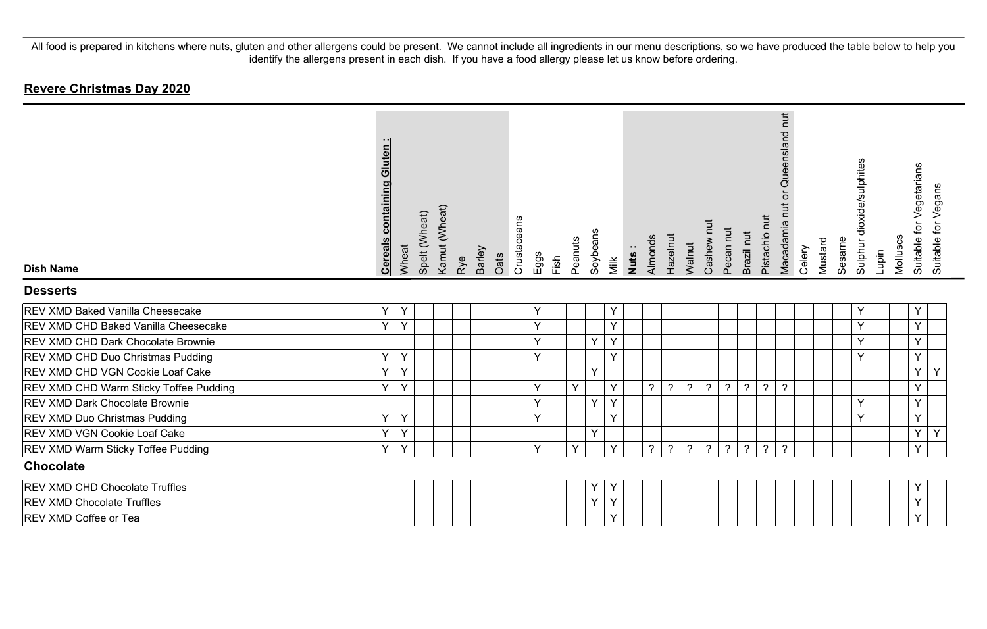| <b>Dish Name</b>                       | <b>Cereals containing Gluten:</b> | Wheat | Spelt (Wheat) | Kamut (Wheat) | Rye | Barley<br>Oats | Crustaceans | Eggs | Fish | Peanuts | Soybeans | Milk         | Nuts: | Almonds        | Hazelnut       | Walnut           | Cashew nut               | Pecan nut      | Brazil nut     | Pistachio nut  | Queensland nut<br>Macadamia nut or | Celery | Mustard | Sesame | Sulphur dioxide/sulphites | Lupin | Molluscs | Suitable for Vegetarians<br>Suitable for Vegans |  |
|----------------------------------------|-----------------------------------|-------|---------------|---------------|-----|----------------|-------------|------|------|---------|----------|--------------|-------|----------------|----------------|------------------|--------------------------|----------------|----------------|----------------|------------------------------------|--------|---------|--------|---------------------------|-------|----------|-------------------------------------------------|--|
| <b>Desserts</b>                        |                                   |       |               |               |     |                |             |      |      |         |          |              |       |                |                |                  |                          |                |                |                |                                    |        |         |        |                           |       |          |                                                 |  |
| REV XMD Baked Vanilla Cheesecake       | Y                                 | Y     |               |               |     |                |             | Υ    |      |         |          | Y            |       |                |                |                  |                          |                |                |                |                                    |        |         |        | Υ                         |       |          | Y                                               |  |
| REV XMD CHD Baked Vanilla Cheesecake   | Y                                 | Y     |               |               |     |                |             | Y    |      |         |          | Y            |       |                |                |                  |                          |                |                |                |                                    |        |         |        | Y                         |       |          | Y                                               |  |
| REV XMD CHD Dark Chocolate Brownie     |                                   |       |               |               |     |                |             | Υ    |      |         | Y        | Y            |       |                |                |                  |                          |                |                |                |                                    |        |         |        | Y                         |       |          | Υ                                               |  |
| REV XMD CHD Duo Christmas Pudding      | Y                                 | Y     |               |               |     |                |             | Y    |      |         |          | $\vee$       |       |                |                |                  |                          |                |                |                |                                    |        |         |        | Y                         |       |          | Y                                               |  |
| REV XMD CHD VGN Cookie Loaf Cake       | Y                                 | Y     |               |               |     |                |             |      |      |         | Y        |              |       |                |                |                  |                          |                |                |                |                                    |        |         |        |                           |       |          | Y<br>Y                                          |  |
| REV XMD CHD Warm Sticky Toffee Pudding | Y                                 | Y     |               |               |     |                |             | Υ    |      | Y       |          | Y            |       | $\tilde{?}$    | $\overline{?}$ | $\boldsymbol{?}$ | $\overline{\mathcal{E}}$ | $\overline{?}$ | $\overline{?}$ | $\overline{?}$ | $\overline{?}$                     |        |         |        |                           |       |          | Υ                                               |  |
| <b>REV XMD Dark Chocolate Brownie</b>  |                                   |       |               |               |     |                |             | Y    |      |         | Y        | $\mathsf{Y}$ |       |                |                |                  |                          |                |                |                |                                    |        |         |        | Y                         |       |          | Y                                               |  |
| REV XMD Duo Christmas Pudding          | Y                                 | Υ     |               |               |     |                |             | Y    |      |         |          | $\vee$       |       |                |                |                  |                          |                |                |                |                                    |        |         |        | Y                         |       |          | Y                                               |  |
| REV XMD VGN Cookie Loaf Cake           | Y                                 | Υ     |               |               |     |                |             |      |      |         | Y        |              |       |                |                |                  |                          |                |                |                |                                    |        |         |        |                           |       |          | Υ<br>Υ                                          |  |
| REV XMD Warm Sticky Toffee Pudding     | Y                                 | Y     |               |               |     |                |             | Y    |      | Y       |          | $\checkmark$ |       | $\overline{?}$ | ?              | $\overline{?}$   | $\overline{?}$           | $\overline{?}$ | $\overline{?}$ | $\overline{?}$ | $\overline{?}$                     |        |         |        |                           |       |          | Y                                               |  |
| <b>Chocolate</b>                       |                                   |       |               |               |     |                |             |      |      |         |          |              |       |                |                |                  |                          |                |                |                |                                    |        |         |        |                           |       |          |                                                 |  |
| REV XMD CHD Chocolate Truffles         |                                   |       |               |               |     |                |             |      |      |         | Υ        |              |       |                |                |                  |                          |                |                |                |                                    |        |         |        |                           |       |          | Y                                               |  |
| <b>REV XMD Chocolate Truffles</b>      |                                   |       |               |               |     |                |             |      |      |         | Y        | Y            |       |                |                |                  |                          |                |                |                |                                    |        |         |        |                           |       |          | Υ                                               |  |
| REV XMD Coffee or Tea                  |                                   |       |               |               |     |                |             |      |      |         |          | Y            |       |                |                |                  |                          |                |                |                |                                    |        |         |        |                           |       |          | Y                                               |  |
|                                        |                                   |       |               |               |     |                |             |      |      |         |          |              |       |                |                |                  |                          |                |                |                |                                    |        |         |        |                           |       |          |                                                 |  |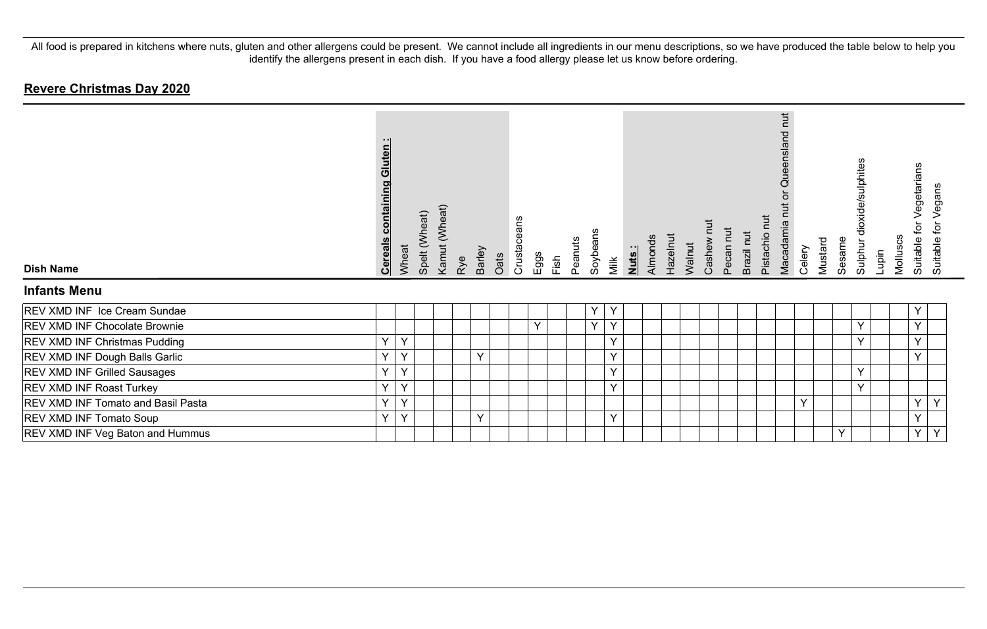| <b>Dish Name</b>                          | Gluten<br>containing<br><b>Cereals</b> | Wheat        | Spelt (Wheat) | Kamut (Wheat) | Rye | Barley       | Oats | Crustaceans | Eggs | Fish | Peanuts | Soybeans | Milk         | Nuts: | Almonds | Hazelnut | Walnut | Pecan nut<br>Cashew | Brazil nut | iut<br>Pistachio r | <b>Tut</b><br>ueensland<br>Ø<br>Macadamia n | Celery | Mustard | Sesame | Sulphur dioxide/sulphites | lupin | Molluscs | Vegetarians<br>đ<br>Suitable | Vegans<br>Suitable for |
|-------------------------------------------|----------------------------------------|--------------|---------------|---------------|-----|--------------|------|-------------|------|------|---------|----------|--------------|-------|---------|----------|--------|---------------------|------------|--------------------|---------------------------------------------|--------|---------|--------|---------------------------|-------|----------|------------------------------|------------------------|
| <b>Infants Menu</b>                       |                                        |              |               |               |     |              |      |             |      |      |         |          |              |       |         |          |        |                     |            |                    |                                             |        |         |        |                           |       |          |                              |                        |
| REV XMD INF Ice Cream Sundae              |                                        |              |               |               |     |              |      |             |      |      |         | Υ        | Y            |       |         |          |        |                     |            |                    |                                             |        |         |        |                           |       |          | Υ                            |                        |
| <b>REV XMD INF Chocolate Brownie</b>      |                                        |              |               |               |     |              |      |             | Y    |      |         | Y        | Y            |       |         |          |        |                     |            |                    |                                             |        |         |        | Υ                         |       |          | Y                            |                        |
| <b>REV XMD INF Christmas Pudding</b>      | Y                                      | $\mathsf{Y}$ |               |               |     |              |      |             |      |      |         |          | $\vee$       |       |         |          |        |                     |            |                    |                                             |        |         |        | Y                         |       |          | Y                            |                        |
| <b>REV XMD INF Dough Balls Garlic</b>     | Y                                      | Y            |               |               |     | $\mathsf{Y}$ |      |             |      |      |         |          | Y            |       |         |          |        |                     |            |                    |                                             |        |         |        |                           |       |          | $\mathsf{Y}$                 |                        |
| <b>REV XMD INF Grilled Sausages</b>       | Y                                      | Y            |               |               |     |              |      |             |      |      |         |          | Y            |       |         |          |        |                     |            |                    |                                             |        |         |        | Y                         |       |          |                              |                        |
| <b>REV XMD INF Roast Turkey</b>           | Y                                      | $\checkmark$ |               |               |     |              |      |             |      |      |         |          | $\checkmark$ |       |         |          |        |                     |            |                    |                                             |        |         |        | Y                         |       |          |                              |                        |
| <b>REV XMD INF Tomato and Basil Pasta</b> | Y                                      | $\checkmark$ |               |               |     |              |      |             |      |      |         |          |              |       |         |          |        |                     |            |                    |                                             | Y      |         |        |                           |       |          | Y                            | $\sqrt{}$              |
| <b>REV XMD INF Tomato Soup</b>            | Y                                      | $\mathsf{Y}$ |               |               |     | $\vee$       |      |             |      |      |         |          | $\vee$       |       |         |          |        |                     |            |                    |                                             |        |         |        |                           |       |          | $\vee$                       |                        |
| <b>REV XMD INF Veg Baton and Hummus</b>   |                                        |              |               |               |     |              |      |             |      |      |         |          |              |       |         |          |        |                     |            |                    |                                             |        |         | Υ      |                           |       |          | $\sf Y$                      | $\checkmark$           |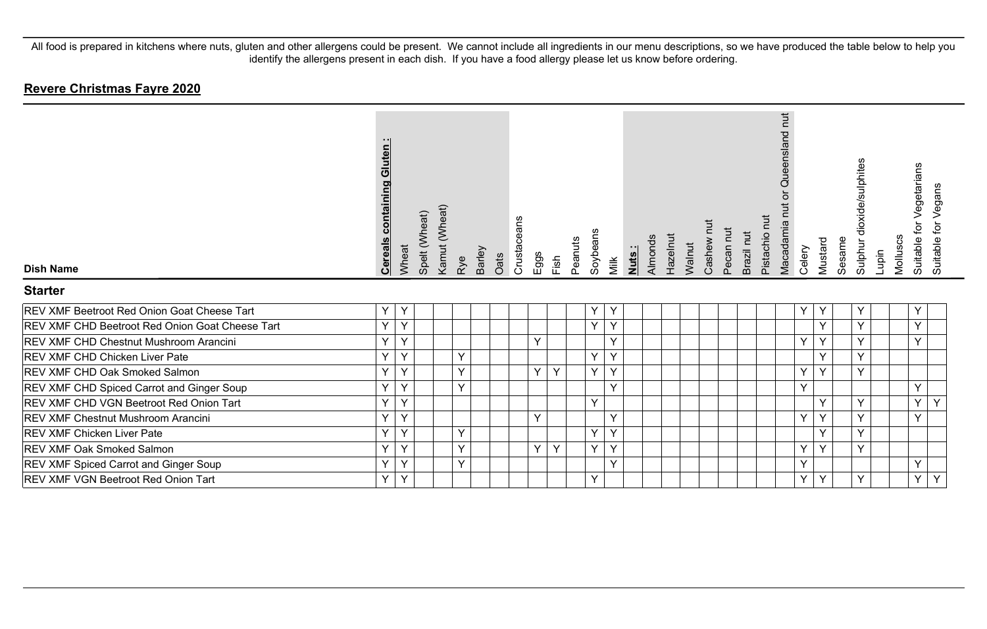| <b>Dish Name</b>                                       | <b>Cereals containing Gluten:</b> | Wheat        | Spelt (Wheat) | Kamut (Wheat) | Rye | <b>Barley</b> | Crustaceans<br>Oats | Eggs   | Fish | Peanuts | Soybeans | Milk         | Nuts: | Almonds | Hazelnut | Walnut | Ĕ<br>Cashew | Pecan nut | Brazil nut | Pistachio nut | hut<br>Queensland<br>ŏ<br>Macadamia nut | Celery | Mustard      | Sesame | dioxide/sulphites<br>Sulphur | Lupin | Molluscs | Vegetarians<br>Suitable for Vegans<br>Suitable for |  |
|--------------------------------------------------------|-----------------------------------|--------------|---------------|---------------|-----|---------------|---------------------|--------|------|---------|----------|--------------|-------|---------|----------|--------|-------------|-----------|------------|---------------|-----------------------------------------|--------|--------------|--------|------------------------------|-------|----------|----------------------------------------------------|--|
| <b>Starter</b>                                         |                                   |              |               |               |     |               |                     |        |      |         |          |              |       |         |          |        |             |           |            |               |                                         |        |              |        |                              |       |          |                                                    |  |
| <b>REV XMF Beetroot Red Onion Goat Cheese Tart</b>     | Y                                 | Y            |               |               |     |               |                     |        |      |         | Υ        | Y            |       |         |          |        |             |           |            |               |                                         | Y      | Y            |        | Y                            |       |          | Υ                                                  |  |
| <b>REV XMF CHD Beetroot Red Onion Goat Cheese Tart</b> | Y                                 | $\checkmark$ |               |               |     |               |                     |        |      |         | Y        | $\checkmark$ |       |         |          |        |             |           |            |               |                                         |        | Y            |        | $\checkmark$                 |       |          | $\checkmark$                                       |  |
| <b>REV XMF CHD Chestnut Mushroom Arancini</b>          | Y                                 | $\checkmark$ |               |               |     |               |                     | $\vee$ |      |         |          | $\checkmark$ |       |         |          |        |             |           |            |               |                                         | Y      | Y            |        | $\checkmark$                 |       |          | $\checkmark$                                       |  |
| <b>REV XMF CHD Chicken Liver Pate</b>                  | Y                                 | $\checkmark$ |               |               | Y   |               |                     |        |      |         | Y        | $\checkmark$ |       |         |          |        |             |           |            |               |                                         |        | Y            |        | $\checkmark$                 |       |          |                                                    |  |
| <b>REV XMF CHD Oak Smoked Salmon</b>                   | Y                                 | $\checkmark$ |               |               | Y   |               |                     | Y      | Y    |         | Y        | $\vee$       |       |         |          |        |             |           |            |               |                                         | Y      | $\checkmark$ |        | $\checkmark$                 |       |          |                                                    |  |
| <b>REV XMF CHD Spiced Carrot and Ginger Soup</b>       | Y                                 | $\checkmark$ |               |               | Y   |               |                     |        |      |         |          | $\checkmark$ |       |         |          |        |             |           |            |               |                                         | Y      |              |        |                              |       |          | $\checkmark$                                       |  |
| <b>REV XMF CHD VGN Beetroot Red Onion Tart</b>         | Y                                 | $\checkmark$ |               |               |     |               |                     |        |      |         | Y        |              |       |         |          |        |             |           |            |               |                                         |        | Y            |        | $\checkmark$                 |       |          | $\checkmark$<br>Y                                  |  |
| <b>REV XMF Chestnut Mushroom Arancini</b>              | Y                                 | $\checkmark$ |               |               |     |               |                     | Y      |      |         |          | $\checkmark$ |       |         |          |        |             |           |            |               |                                         | Y      | Y            |        | v                            |       |          | $\checkmark$                                       |  |
| <b>REV XMF Chicken Liver Pate</b>                      | Y                                 | $\checkmark$ |               |               | Y   |               |                     |        |      |         | Y        | $\checkmark$ |       |         |          |        |             |           |            |               |                                         |        | Y            |        | $\checkmark$                 |       |          |                                                    |  |
| <b>REV XMF Oak Smoked Salmon</b>                       | Y                                 | $\checkmark$ |               |               | Y   |               |                     | Y      | Y    |         | Y        | $\checkmark$ |       |         |          |        |             |           |            |               |                                         | Y      | v            |        | $\checkmark$                 |       |          |                                                    |  |
| <b>REV XMF Spiced Carrot and Ginger Soup</b>           | Y                                 | $\checkmark$ |               |               | Y   |               |                     |        |      |         |          | $\checkmark$ |       |         |          |        |             |           |            |               |                                         | Y      |              |        |                              |       |          | $\vee$                                             |  |
| <b>REV XMF VGN Beetroot Red Onion Tart</b>             | Υ                                 | Υ            |               |               |     |               |                     |        |      |         | Υ        |              |       |         |          |        |             |           |            |               |                                         | Y      | Υ            |        | Y                            |       |          | Υ<br>Y                                             |  |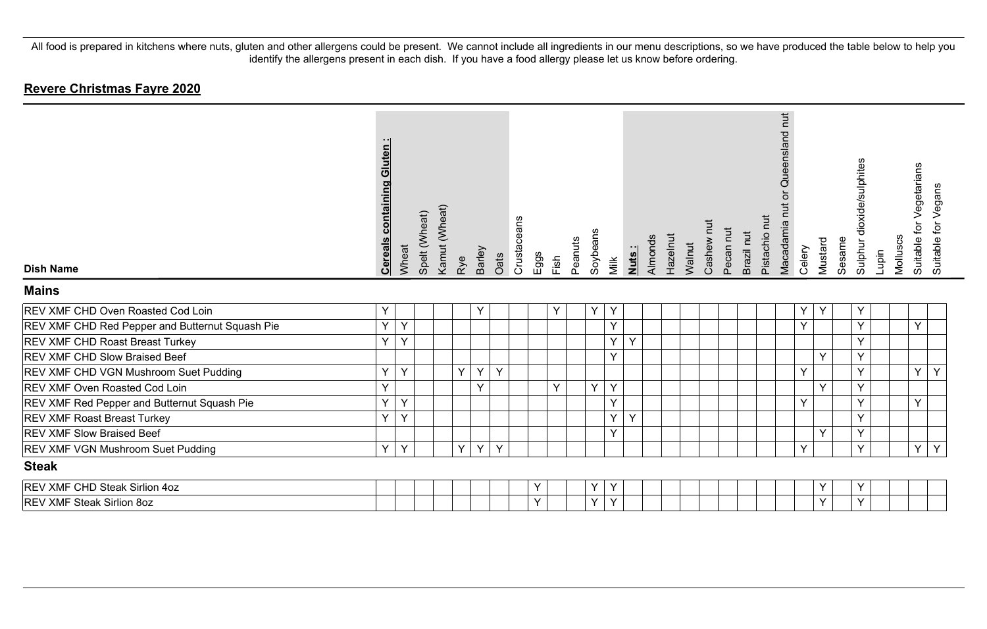| <b>Dish Name</b><br><b>Mains</b>                | <b>containing Gluten:</b><br><b>Cereals</b> | Wheat | Spelt (Wheat) | Kamut (Wheat) | Rye | Barley | Crustaceans<br>Oats | Eggs<br>Fish | Peanuts | Soybeans | Milk   | Nuts: | Almonds | Hazelnut | Walnut | Cashew | Pecan nut | Pistachio nut<br>Brazil nut | nut<br>Queensland<br>$\overleftarrow{\mathrm{o}}$<br>Macadamia nut | Celery | Mustard | Sesame | Sulphur dioxide/sulphites | Lupin | Molluscs | Suitable for Vegetarians | Suitable for Vegans |
|-------------------------------------------------|---------------------------------------------|-------|---------------|---------------|-----|--------|---------------------|--------------|---------|----------|--------|-------|---------|----------|--------|--------|-----------|-----------------------------|--------------------------------------------------------------------|--------|---------|--------|---------------------------|-------|----------|--------------------------|---------------------|
| REV XMF CHD Oven Roasted Cod Loin               | Y                                           |       |               |               |     | Y      |                     | Y            |         | Y        | Y      |       |         |          |        |        |           |                             |                                                                    | Y      | Y       |        | Y                         |       |          |                          |                     |
| REV XMF CHD Red Pepper and Butternut Squash Pie | Y                                           | Y     |               |               |     |        |                     |              |         |          | Y      |       |         |          |        |        |           |                             |                                                                    | Y      |         |        | Y                         |       |          | Y                        |                     |
| REV XMF CHD Roast Breast Turkey                 | Y                                           | Y     |               |               |     |        |                     |              |         |          | Υ      | Y     |         |          |        |        |           |                             |                                                                    |        |         |        | Y                         |       |          |                          |                     |
| REV XMF CHD Slow Braised Beef                   |                                             |       |               |               |     |        |                     |              |         |          | Y      |       |         |          |        |        |           |                             |                                                                    |        | Y       |        | Y                         |       |          |                          |                     |
| REV XMF CHD VGN Mushroom Suet Pudding           | Y                                           | Y     |               |               | Y   | Y      | Y                   |              |         |          |        |       |         |          |        |        |           |                             |                                                                    | Y      |         |        | Y                         |       |          | Y                        | Y                   |
| REV XMF Oven Roasted Cod Loin                   | Υ                                           |       |               |               |     | Y      |                     | Y            |         | Y        | Y      |       |         |          |        |        |           |                             |                                                                    |        | Y       |        | Y                         |       |          |                          |                     |
| REV XMF Red Pepper and Butternut Squash Pie     | Y                                           | Y     |               |               |     |        |                     |              |         |          | Υ      |       |         |          |        |        |           |                             |                                                                    | Y      |         |        | Y                         |       |          | Y                        |                     |
| REV XMF Roast Breast Turkey                     | Y                                           | Y     |               |               |     |        |                     |              |         |          | Υ      | Y     |         |          |        |        |           |                             |                                                                    |        |         |        | Y                         |       |          |                          |                     |
| REV XMF Slow Braised Beef                       |                                             |       |               |               |     |        |                     |              |         |          | $\vee$ |       |         |          |        |        |           |                             |                                                                    |        | Y       |        | Y                         |       |          |                          |                     |
| REV XMF VGN Mushroom Suet Pudding               | Y                                           | Y     |               |               | Y   | Y      | Y                   |              |         |          |        |       |         |          |        |        |           |                             |                                                                    | Y      |         |        | Y                         |       |          | Y                        | Y                   |
| <b>Steak</b>                                    |                                             |       |               |               |     |        |                     |              |         |          |        |       |         |          |        |        |           |                             |                                                                    |        |         |        |                           |       |          |                          |                     |
| REV XMF CHD Steak Sirlion 4oz                   |                                             |       |               |               |     |        |                     | Y            |         | Υ        | Υ      |       |         |          |        |        |           |                             |                                                                    |        | Υ       |        | Υ                         |       |          |                          |                     |
| <b>REV XMF Steak Sirlion 8oz</b>                |                                             |       |               |               |     |        |                     | $\checkmark$ |         | Y        | Y      |       |         |          |        |        |           |                             |                                                                    |        | Y       |        | Y                         |       |          |                          |                     |
|                                                 |                                             |       |               |               |     |        |                     |              |         |          |        |       |         |          |        |        |           |                             |                                                                    |        |         |        |                           |       |          |                          |                     |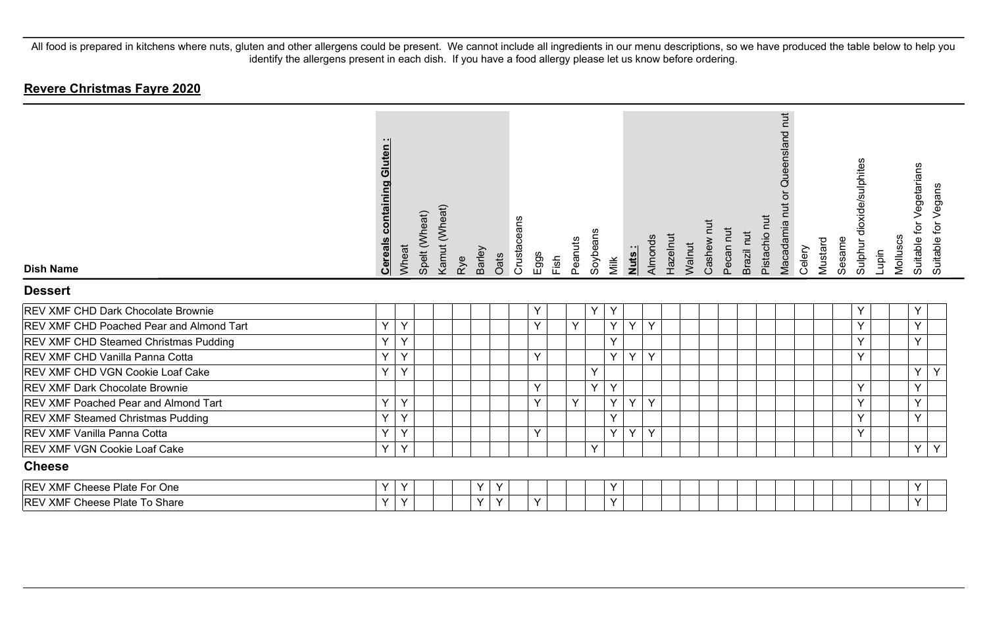| <b>Dish Name</b><br><b>Dessert</b>       | containing Gluten:<br><b>Cereals</b> | Wheat | Spelt (Wheat) | Kamut (Wheat) | Rye | Barley | Oats | Crustaceans | Eggs         | Fish | Peanuts | Soybeans | Milk | <u>Nuts:</u> | Almonds | Hazelnut | Walnut | Į<br>Cashew | Pecan nut | Brazil nut | Pistachio nut | Queensland nut<br>Macadamia nut or | Celery | Mustard | Sesame | Sulphur dioxide/sulphites | Molluscs<br>Lupin | Suitable for Vegetarians | Suitable for Vegans |  |
|------------------------------------------|--------------------------------------|-------|---------------|---------------|-----|--------|------|-------------|--------------|------|---------|----------|------|--------------|---------|----------|--------|-------------|-----------|------------|---------------|------------------------------------|--------|---------|--------|---------------------------|-------------------|--------------------------|---------------------|--|
| REV XMF CHD Dark Chocolate Brownie       |                                      |       |               |               |     |        |      |             | Y            |      |         | Υ        | Υ    |              |         |          |        |             |           |            |               |                                    |        |         |        | $\checkmark$              |                   | Y                        |                     |  |
| REV XMF CHD Poached Pear and Almond Tart | Y                                    | Y     |               |               |     |        |      |             | Y            |      | Y       |          | Y    | Y            | Y       |          |        |             |           |            |               |                                    |        |         |        | $\checkmark$              |                   | Y                        |                     |  |
| REV XMF CHD Steamed Christmas Pudding    | Υ                                    | Y     |               |               |     |        |      |             |              |      |         |          | Y    |              |         |          |        |             |           |            |               |                                    |        |         |        |                           |                   | Y                        |                     |  |
| REV XMF CHD Vanilla Panna Cotta          | Y                                    | Y     |               |               |     |        |      |             | Y            |      |         |          | Y    | Y            | Y       |          |        |             |           |            |               |                                    |        |         |        | $\checkmark$              |                   |                          |                     |  |
| REV XMF CHD VGN Cookie Loaf Cake         | Y                                    | Y     |               |               |     |        |      |             |              |      |         | Y        |      |              |         |          |        |             |           |            |               |                                    |        |         |        |                           |                   | Y                        | Y                   |  |
| REV XMF Dark Chocolate Brownie           |                                      |       |               |               |     |        |      |             | Y            |      |         | Y        | Y    |              |         |          |        |             |           |            |               |                                    |        |         |        | $\checkmark$              |                   | Y                        |                     |  |
| REV XMF Poached Pear and Almond Tart     | Y                                    | Y     |               |               |     |        |      |             | Y            |      | Y       |          | Y    | Y            | Y       |          |        |             |           |            |               |                                    |        |         |        | $\checkmark$              |                   | Y                        |                     |  |
| REV XMF Steamed Christmas Pudding        | Y                                    | Y     |               |               |     |        |      |             |              |      |         |          | Y    |              |         |          |        |             |           |            |               |                                    |        |         |        |                           |                   | Y                        |                     |  |
| REV XMF Vanilla Panna Cotta              | Y                                    | Y     |               |               |     |        |      |             | $\checkmark$ |      |         |          | Y    | Y            | Y       |          |        |             |           |            |               |                                    |        |         |        | $\checkmark$              |                   |                          |                     |  |
| REV XMF VGN Cookie Loaf Cake             | Y                                    | Y     |               |               |     |        |      |             |              |      |         | Y        |      |              |         |          |        |             |           |            |               |                                    |        |         |        |                           |                   | Y                        | Y                   |  |
| <b>Cheese</b>                            |                                      |       |               |               |     |        |      |             |              |      |         |          |      |              |         |          |        |             |           |            |               |                                    |        |         |        |                           |                   |                          |                     |  |
| REV XMF Cheese Plate For One             | Υ                                    | Y     |               |               |     | Y      | Y    |             |              |      |         |          | Y    |              |         |          |        |             |           |            |               |                                    |        |         |        |                           |                   | Y                        |                     |  |
| REV XMF Cheese Plate To Share            | Y                                    | Y     |               |               |     | Y      | Y    |             | <b>v</b>     |      |         |          | Y    |              |         |          |        |             |           |            |               |                                    |        |         |        |                           |                   | Y                        |                     |  |
|                                          |                                      |       |               |               |     |        |      |             |              |      |         |          |      |              |         |          |        |             |           |            |               |                                    |        |         |        |                           |                   |                          |                     |  |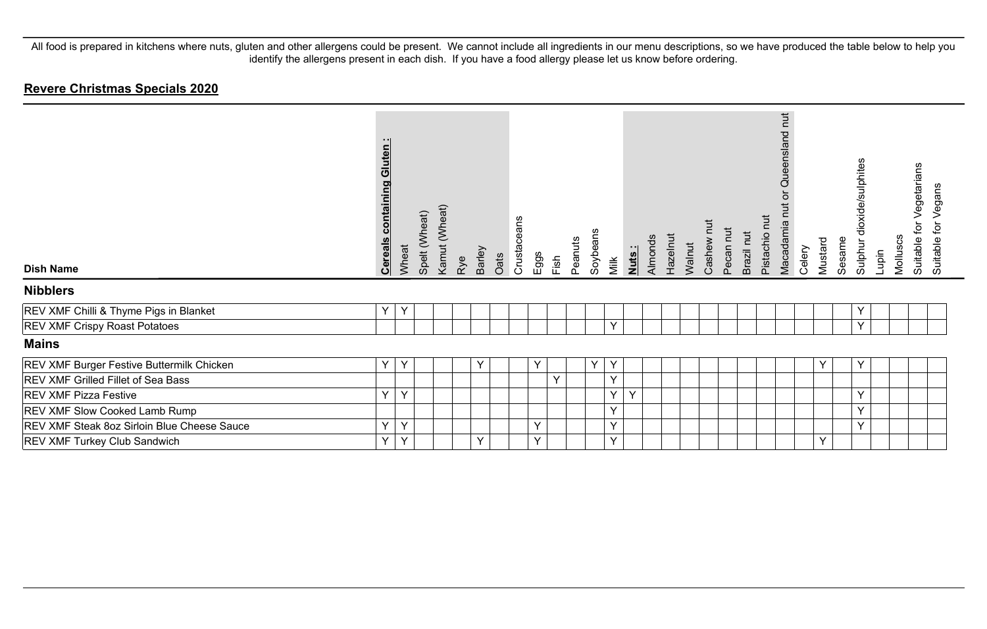#### **Revere Christmas Specials 2020**

| <b>Dish Name</b>                            | $\cdot$ .<br>Gluten<br>containing<br><b>Cereals</b> | Wheat | Spelt (Wheat) | Kamut (Wheat) | Barley<br>Rye |   | Oats | Crustaceans<br>Eggs | Fish         | Peanuts | Soybeans | Milk   | Nuts: | Almonds | Hazelnut | Walnut | Cashew | Pecan nut | Brazil nut | Pistachio nut | $\overline{a}$<br>Queensland<br>ð<br>Macadamia nut | Celery | Mustard | Sesame | dioxide/sulphites<br>Sulphur | Lupin | Molluscs | Vegetarians<br>ð<br>Suitable for<br>Suitable | Vegans |
|---------------------------------------------|-----------------------------------------------------|-------|---------------|---------------|---------------|---|------|---------------------|--------------|---------|----------|--------|-------|---------|----------|--------|--------|-----------|------------|---------------|----------------------------------------------------|--------|---------|--------|------------------------------|-------|----------|----------------------------------------------|--------|
| <b>Nibblers</b>                             |                                                     |       |               |               |               |   |      |                     |              |         |          |        |       |         |          |        |        |           |            |               |                                                    |        |         |        |                              |       |          |                                              |        |
| REV XMF Chilli & Thyme Pigs in Blanket      | Υ                                                   | Y     |               |               |               |   |      |                     |              |         |          |        |       |         |          |        |        |           |            |               |                                                    |        |         |        | Y                            |       |          |                                              |        |
| <b>REV XMF Crispy Roast Potatoes</b>        |                                                     |       |               |               |               |   |      |                     |              |         |          | $\vee$ |       |         |          |        |        |           |            |               |                                                    |        |         |        | $\checkmark$                 |       |          |                                              |        |
| <b>Mains</b>                                |                                                     |       |               |               |               |   |      |                     |              |         |          |        |       |         |          |        |        |           |            |               |                                                    |        |         |        |                              |       |          |                                              |        |
| REV XMF Burger Festive Buttermilk Chicken   | Y                                                   | Y     |               |               |               | Y |      | Y                   |              |         | Y        | Y      |       |         |          |        |        |           |            |               |                                                    |        | Y       |        | Y                            |       |          |                                              |        |
| REV XMF Grilled Fillet of Sea Bass          |                                                     |       |               |               |               |   |      |                     | $\checkmark$ |         |          | Y      |       |         |          |        |        |           |            |               |                                                    |        |         |        |                              |       |          |                                              |        |
| <b>REV XMF Pizza Festive</b>                | Υ                                                   | Y     |               |               |               |   |      |                     |              |         |          | Y      | Y     |         |          |        |        |           |            |               |                                                    |        |         |        | $\checkmark$                 |       |          |                                              |        |
| REV XMF Slow Cooked Lamb Rump               |                                                     |       |               |               |               |   |      |                     |              |         |          | Y      |       |         |          |        |        |           |            |               |                                                    |        |         |        | $\checkmark$                 |       |          |                                              |        |
| REV XMF Steak 8oz Sirloin Blue Cheese Sauce | Y                                                   | Y     |               |               |               |   |      | Y                   |              |         |          | Y      |       |         |          |        |        |           |            |               |                                                    |        |         |        | $\checkmark$                 |       |          |                                              |        |
| REV XMF Turkey Club Sandwich                | Υ                                                   | Υ     |               |               | Y             |   |      | Y                   |              |         |          | Y      |       |         |          |        |        |           |            |               |                                                    |        | Y       |        |                              |       |          |                                              |        |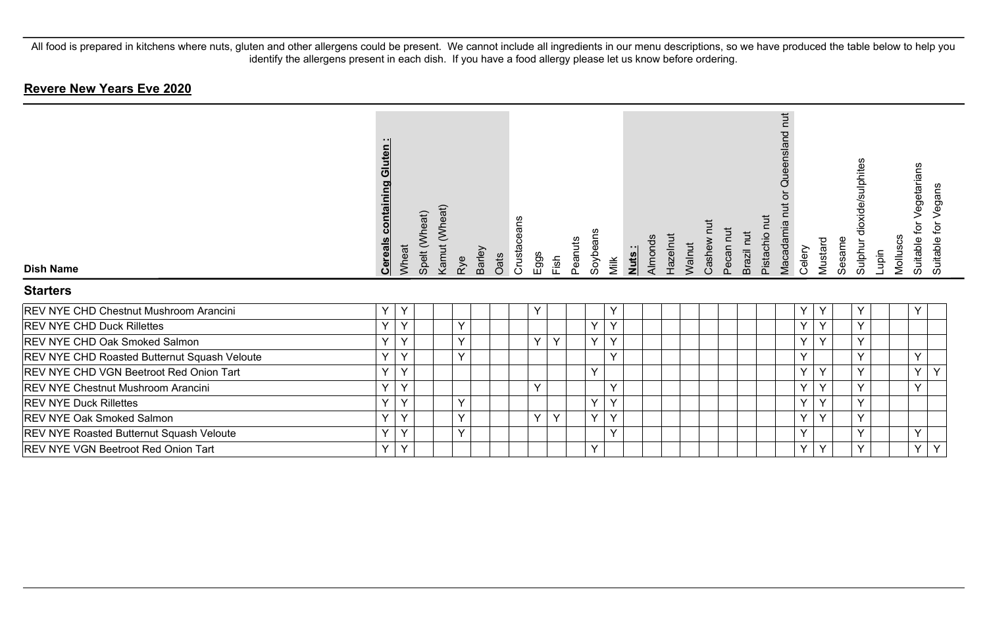# **Revere New Years Eve 2020**

| <b>Dish Name</b>                                    | Gluten:<br><b>Cereals containing</b> | Wheat        | Spelt (Wheat) | Kamut (Wheat) | Rye          | Barley<br>Oats | Crustaceans | Eggs | Fish         | Peanuts | Soybeans | Milk         | Almonds<br>Nuts: | Hazelnut | Walnut | Cashew | Pecan nut | Brazil nut | Pistachio nut | hut<br>Queensland<br>ă<br>Macadamia nut | Celery | Mustard | Sesame | Sulphur dioxide/sulphites | Lupin | Molluscs | Vegetarians<br>ίþ<br>Suitable | Vegans<br>Suitable for |
|-----------------------------------------------------|--------------------------------------|--------------|---------------|---------------|--------------|----------------|-------------|------|--------------|---------|----------|--------------|------------------|----------|--------|--------|-----------|------------|---------------|-----------------------------------------|--------|---------|--------|---------------------------|-------|----------|-------------------------------|------------------------|
| <b>Starters</b>                                     |                                      |              |               |               |              |                |             |      |              |         |          |              |                  |          |        |        |           |            |               |                                         |        |         |        | $\checkmark$              |       |          |                               |                        |
| REV NYE CHD Chestnut Mushroom Arancini              | $\checkmark$                         | Y            |               |               |              |                |             | Υ    |              |         |          | Y            |                  |          |        |        |           |            |               |                                         | Y      | Y       |        |                           |       |          | Υ                             |                        |
| <b>REV NYE CHD Duck Rillettes</b>                   | $\mathbf{v}$                         | $\checkmark$ |               |               | $\checkmark$ |                |             |      |              |         | Y        | $\checkmark$ |                  |          |        |        |           |            |               |                                         | Y      | Y       |        | $\checkmark$              |       |          |                               |                        |
| <b>REV NYE CHD Oak Smoked Salmon</b>                | $\checkmark$                         | $\checkmark$ |               |               | Y            |                |             | Y    | $\checkmark$ |         | Y        | $\checkmark$ |                  |          |        |        |           |            |               |                                         | Y      | Y       |        | $\checkmark$              |       |          |                               |                        |
| <b>REV NYE CHD Roasted Butternut Squash Veloute</b> |                                      | $\checkmark$ |               |               | Y            |                |             |      |              |         |          |              |                  |          |        |        |           |            |               |                                         | Y      |         |        |                           |       |          | Y                             |                        |
| <b>REV NYE CHD VGN Beetroot Red Onion Tart</b>      | $\vee$                               | Y            |               |               |              |                |             |      |              |         | Y        |              |                  |          |        |        |           |            |               |                                         | Y      | Y       |        | $\checkmark$              |       |          | Y                             | Y                      |
| <b>REV NYE Chestnut Mushroom Arancini</b>           | $\checkmark$                         | $\checkmark$ |               |               |              |                |             | Y    |              |         |          | $\checkmark$ |                  |          |        |        |           |            |               |                                         | Y      | Y       |        |                           |       |          | $\checkmark$                  |                        |
| <b>REV NYE Duck Rillettes</b>                       | $\checkmark$                         | Y            |               |               | Υ            |                |             |      |              |         | Y        |              |                  |          |        |        |           |            |               |                                         | Y      | Y       |        | v                         |       |          |                               |                        |
| <b>REV NYE Oak Smoked Salmon</b>                    | $\checkmark$                         | Y            |               |               | Y            |                |             | Y    | Y            |         | Y        | $\checkmark$ |                  |          |        |        |           |            |               |                                         | Y      | Y       |        | $\vee$                    |       |          |                               |                        |
| <b>REV NYE Roasted Butternut Squash Veloute</b>     | $\checkmark$                         | Y            |               |               | Y            |                |             |      |              |         |          | $\checkmark$ |                  |          |        |        |           |            |               |                                         | Y      |         |        | $\checkmark$              |       |          | Y                             |                        |
| <b>REV NYE VGN Beetroot Red Onion Tart</b>          | $\vee$                               | Y            |               |               |              |                |             |      |              |         | Y        |              |                  |          |        |        |           |            |               |                                         | Y      | Y       |        |                           |       |          | Y                             | Y                      |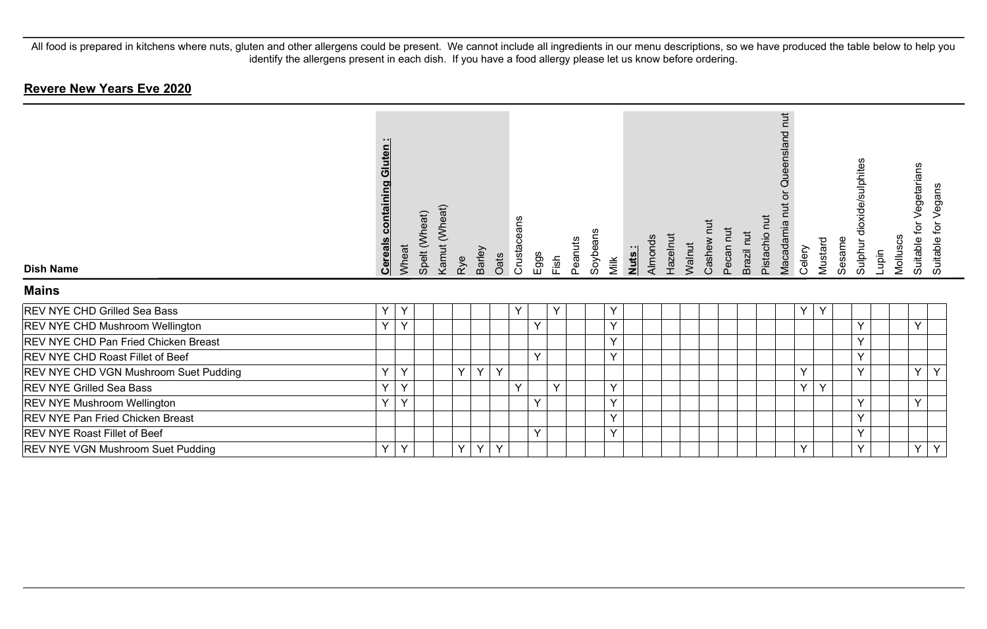# **Revere New Years Eve 2020**

| <b>Dish Name</b>                            | <b>Cereals containing Gluten:</b> | Wheat        | Spelt (Wheat) | Kamut (Wheat) | Rye    | Barley | Oats | Crustaceans  | $E$ ggs      | Fish   | Peanuts | Soybeans | Milk | Nuts: | Almonds | Hazelnut | Walnut | Cashew | Pecan nut | Brazil nut | Pistachio nut | Queensland nut<br>ă<br>Macadamia nut | Celery | Mustard | Sesame | dioxide/sulphites<br>Sulphur | Lupin | Molluscs | Vegetarians<br>ð<br>Suitable | Vegans<br>Suitable for |
|---------------------------------------------|-----------------------------------|--------------|---------------|---------------|--------|--------|------|--------------|--------------|--------|---------|----------|------|-------|---------|----------|--------|--------|-----------|------------|---------------|--------------------------------------|--------|---------|--------|------------------------------|-------|----------|------------------------------|------------------------|
| <b>Mains</b>                                |                                   |              |               |               |        |        |      |              |              |        |         |          |      |       |         |          |        |        |           |            |               |                                      |        |         |        |                              |       |          |                              |                        |
| <b>REV NYE CHD Grilled Sea Bass</b>         | Y                                 | $\checkmark$ |               |               |        |        |      | $\checkmark$ |              | Y      |         |          | Y    |       |         |          |        |        |           |            |               |                                      | Y      | Y       |        |                              |       |          |                              |                        |
| <b>REV NYE CHD Mushroom Wellington</b>      | Y                                 | $\checkmark$ |               |               |        |        |      |              | $\checkmark$ |        |         |          | Y    |       |         |          |        |        |           |            |               |                                      |        |         |        | $\checkmark$                 |       |          | $\checkmark$                 |                        |
| <b>REV NYE CHD Pan Fried Chicken Breast</b> |                                   |              |               |               |        |        |      |              |              |        |         |          | Y    |       |         |          |        |        |           |            |               |                                      |        |         |        | $\checkmark$                 |       |          |                              |                        |
| <b>REV NYE CHD Roast Fillet of Beef</b>     |                                   |              |               |               |        |        |      |              | Y            |        |         |          | Y    |       |         |          |        |        |           |            |               |                                      |        |         |        | $\checkmark$                 |       |          |                              |                        |
| REV NYE CHD VGN Mushroom Suet Pudding       | Y                                 | $\checkmark$ |               |               | $\vee$ | Y      | Y    |              |              |        |         |          |      |       |         |          |        |        |           |            |               |                                      | Y      |         |        | $\checkmark$                 |       |          | Y                            | Y                      |
| <b>REV NYE Grilled Sea Bass</b>             | Y                                 | $\checkmark$ |               |               |        |        |      | $\checkmark$ |              | $\vee$ |         |          | Y    |       |         |          |        |        |           |            |               |                                      | Y      | Y       |        |                              |       |          |                              |                        |
| <b>REV NYE Mushroom Wellington</b>          | Y                                 | $\checkmark$ |               |               |        |        |      |              | $\checkmark$ |        |         |          | Y    |       |         |          |        |        |           |            |               |                                      |        |         |        |                              |       |          | Y                            |                        |
| <b>REV NYE Pan Fried Chicken Breast</b>     |                                   |              |               |               |        |        |      |              |              |        |         |          | Y    |       |         |          |        |        |           |            |               |                                      |        |         |        | $\vee$                       |       |          |                              |                        |
| <b>REV NYE Roast Fillet of Beef</b>         |                                   |              |               |               |        |        |      |              | Y            |        |         |          | Y    |       |         |          |        |        |           |            |               |                                      |        |         |        | $\checkmark$                 |       |          |                              |                        |
| <b>REV NYE VGN Mushroom Suet Pudding</b>    | Y                                 | $\vee$       |               |               | Y      | Y      | Y    |              |              |        |         |          |      |       |         |          |        |        |           |            |               |                                      | Y      |         |        |                              |       |          | Y                            | Y                      |